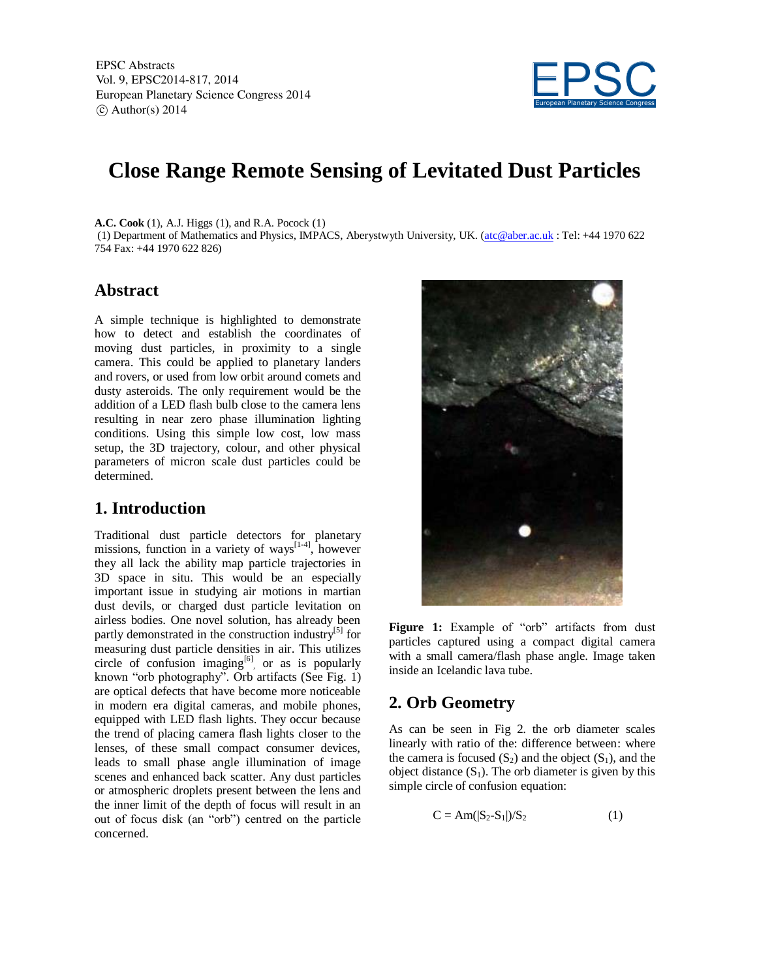

# **Close Range Remote Sensing of Levitated Dust Particles**

**A.C. Cook** (1), A.J. Higgs (1), and R.A. Pocock (1)

(1) Department of Mathematics and Physics, IMPACS, Aberystwyth University, UK. (atc@aber.ac.uk : Tel: +44 1970 622 754 Fax: +44 1970 622 826)

#### **Abstract**

A simple technique is highlighted to demonstrate how to detect and establish the coordinates of moving dust particles, in proximity to a single camera. This could be applied to planetary landers and rovers, or used from low orbit around comets and dusty asteroids. The only requirement would be the addition of a LED flash bulb close to the camera lens resulting in near zero phase illumination lighting conditions. Using this simple low cost, low mass setup, the 3D trajectory, colour, and other physical parameters of micron scale dust particles could be determined.

### **1. Introduction**

Traditional dust particle detectors for planetary missions, function in a variety of ways $\left[1-4\right]$ , however they all lack the ability map particle trajectories in 3D space in situ. This would be an especially important issue in studying air motions in martian dust devils, or charged dust particle levitation on airless bodies. One novel solution, has already been partly demonstrated in the construction industry<sup>[5]</sup> for measuring dust particle densities in air. This utilizes circle of confusion imaging $[6]$  or as is popularly known "orb photography". Orb artifacts (See Fig. 1) are optical defects that have become more noticeable in modern era digital cameras, and mobile phones, equipped with LED flash lights. They occur because the trend of placing camera flash lights closer to the lenses, of these small compact consumer devices, leads to small phase angle illumination of image scenes and enhanced back scatter. Any dust particles or atmospheric droplets present between the lens and the inner limit of the depth of focus will result in an out of focus disk (an "orb") centred on the particle concerned.



Figure 1: Example of "orb" artifacts from dust particles captured using a compact digital camera with a small camera/flash phase angle. Image taken inside an Icelandic lava tube.

## **2. Orb Geometry**

As can be seen in Fig 2. the orb diameter scales linearly with ratio of the: difference between: where the camera is focused  $(S_2)$  and the object  $(S_1)$ , and the object distance  $(S_1)$ . The orb diameter is given by this simple circle of confusion equation:

$$
C = Am(|S_2 - S_1|)/S_2 \tag{1}
$$